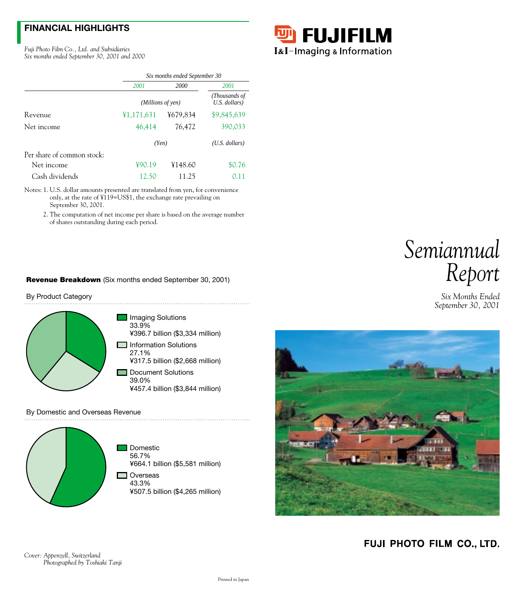# **FINANCIAL HIGHLIGHTS**

*Fuji Photo Film Co., Ltd. and Subsidiaries Six months ended September 30, 2001 and 2000*



|                            | Six months ended September 30 |                   |                  |  |  |
|----------------------------|-------------------------------|-------------------|------------------|--|--|
|                            | 2000<br>2001                  |                   | 2001             |  |  |
|                            |                               | (Millions of yen) |                  |  |  |
| Revenue                    | ¥1,171,631                    | ¥679,834          | \$9,845,639      |  |  |
| Net income                 | 46,414                        | 76,472            | 390,033          |  |  |
|                            | (Yen)                         |                   | $(U.S.$ dollars) |  |  |
| Per share of common stock: |                               |                   |                  |  |  |
| Net income                 | 490.19                        | ¥148.60           | \$0.76           |  |  |
| Cash dividends             | 12.50                         | 11.25             | 0.11             |  |  |

Notes: 1. U.S. dollar amounts presented are translated from yen, for convenience only, at the rate of ¥119=US\$1, the exchange rate prevailing on September 30, 2001.

2. The computation of net income per share is based on the average number of shares outstanding during each period.

### **Revenue Breakdown** (Six months ended September 30, 2001)

By Product Category



#### By Domestic and Overseas Revenue





*Six Months Ended September 30, 2001*



FUJI PHOTO FILM CO., LTD.

*Cover: Appenzell, Switzerland Photographed by Toshiaki Tanji*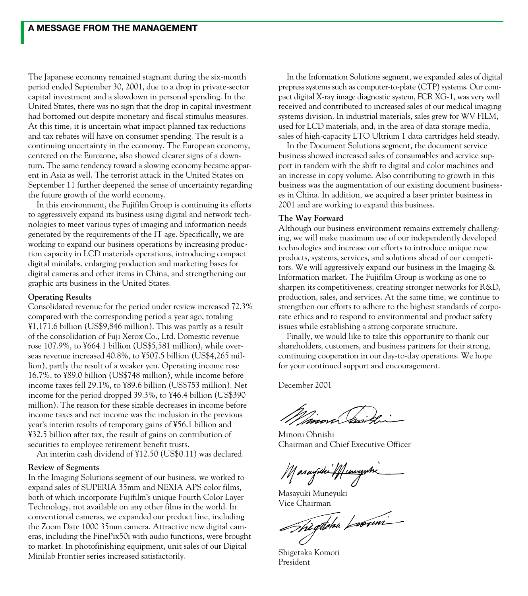The Japanese economy remained stagnant during the six-month period ended September 30, 2001, due to a drop in private-sector capital investment and a slowdown in personal spending. In the United States, there was no sign that the drop in capital investment had bottomed out despite monetary and fiscal stimulus measures. At this time, it is uncertain what impact planned tax reductions and tax rebates will have on consumer spending. The result is a continuing uncertainty in the economy. The European economy, centered on the Eurozone, also showed clearer signs of a downturn. The same tendency toward a slowing economy became apparent in Asia as well. The terrorist attack in the United States on September 11 further deepened the sense of uncertainty regarding the future growth of the world economy.

In this environment, the Fujifilm Group is continuing its efforts to aggressively expand its business using digital and network technologies to meet various types of imaging and information needs generated by the requirements of the IT age. Specifically, we are working to expand our business operations by increasing production capacity in LCD materials operations, introducing compact digital minilabs, enlarging production and marketing bases for digital cameras and other items in China, and strengthening our graphic arts business in the United States.

### **Operating Results**

Consolidated revenue for the period under review increased 72.3% compared with the corresponding period a year ago, totaling ¥1,171.6 billion (US\$9,846 million). This was partly as a result of the consolidation of Fuji Xerox Co., Ltd. Domestic revenue rose 107.9%, to ¥664.1 billion (US\$5,581 million), while overseas revenue increased 40.8%, to ¥507.5 billion (US\$4,265 million), partly the result of a weaker yen. Operating income rose 16.7%, to ¥89.0 billion (US\$748 million), while income before income taxes fell 29.1%, to ¥89.6 billion (US\$753 million). Net income for the period dropped 39.3%, to ¥46.4 billion (US\$390 million). The reason for these sizable decreases in income before income taxes and net income was the inclusion in the previous year's interim results of temporary gains of ¥56.1 billion and ¥32.5 billion after tax, the result of gains on contribution of securities to employee retirement benefit trusts.

An interim cash dividend of ¥12.50 (US\$0.11) was declared.

### **Review of Segments**

In the Imaging Solutions segment of our business, we worked to expand sales of SUPERIA 35mm and NEXIA APS color films, both of which incorporate Fujifilm's unique Fourth Color Layer Technology, not available on any other films in the world. In conventional cameras, we expanded our product line, including the Zoom Date 1000 35mm camera. Attractive new digital cameras, including the FinePix50i with audio functions, were brought to market. In photofinishing equipment, unit sales of our Digital Minilab Frontier series increased satisfactorily.

In the Information Solutions segment, we expanded sales of digital prepress systems such as computer-to-plate (CTP) systems. Our compact digital X-ray image diagnostic system, FCR XG-1, was very well received and contributed to increased sales of our medical imaging systems division. In industrial materials, sales grew for WV FILM, used for LCD materials, and, in the area of data storage media, sales of high-capacity LTO Ultrium 1 data cartridges held steady.

In the Document Solutions segment, the document service business showed increased sales of consumables and service support in tandem with the shift to digital and color machines and an increase in copy volume. Also contributing to growth in this business was the augmentation of our existing document businesses in China. In addition, we acquired a laser printer business in 2001 and are working to expand this business.

### **The Way Forward**

Although our business environment remains extremely challenging, we will make maximum use of our independently developed technologies and increase our efforts to introduce unique new products, systems, services, and solutions ahead of our competitors. We will aggressively expand our business in the Imaging & Information market. The Fujifilm Group is working as one to sharpen its competitiveness, creating stronger networks for R&D, production, sales, and services. At the same time, we continue to strengthen our efforts to adhere to the highest standards of corporate ethics and to respond to environmental and product safety issues while establishing a strong corporate structure.

Finally, we would like to take this opportunity to thank our shareholders, customers, and business partners for their strong, continuing cooperation in our day-to-day operations. We hope for your continued support and encouragement.

December 2001

*Minov*a Gritz

Minoru Ohnishi Chairman and Chief Executive Officer

Masayîda Muniyehi

Masayuki Muneyuki

Vice Chairman<br>
Shègdona Loomi

Shigetaka Komori President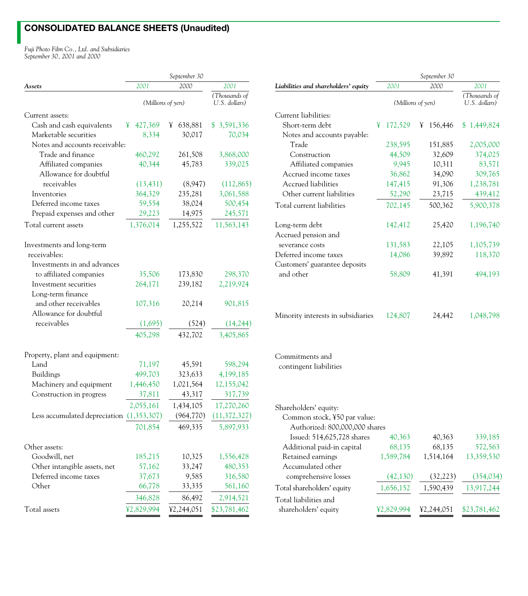# **CONSOLIDATED BALANCE SHEETS (Unaudited)**

*Fuji Photo Film Co., Ltd. and Subsidiaries September 30, 2001 and 2000*

|                                                  | September 30       |                                |                        |  |
|--------------------------------------------------|--------------------|--------------------------------|------------------------|--|
| Assets                                           | 2001               | 2000                           | 2001                   |  |
|                                                  | (Millions of yen)  | (Thousands of<br>U.S. dollars) |                        |  |
| Current assets:                                  |                    |                                |                        |  |
| Cash and cash equivalents                        | 427,369<br>¥       | 638,881<br>¥                   | \$3,591,336            |  |
| Marketable securities                            | 8,334              | 30,017                         | 70,034                 |  |
| Notes and accounts receivable:                   |                    |                                |                        |  |
| Trade and finance                                | 460,292            | 261,508                        | 3,868,000              |  |
| Affiliated companies                             | 40,344             | 45,783                         | 339,025                |  |
| Allowance for doubtful                           |                    |                                |                        |  |
| receivables                                      | (13, 431)          | (8,947)                        | (112, 865)             |  |
| Inventories                                      | 364,329            | 235,281                        | 3,061,588              |  |
| Deferred income taxes                            | 59,554             | 38,024                         | 500,454                |  |
| Prepaid expenses and other                       | 29,223             | 14,975                         | 245,571                |  |
| Total current assets                             | 1,376,014          | 1,255,522                      | 11,563,143             |  |
| Investments and long-term<br>receivables:        |                    |                                |                        |  |
| Investments in and advances                      |                    |                                |                        |  |
| to affiliated companies<br>Investment securities | 35,506             | 173,830                        | 298,370<br>2,219,924   |  |
|                                                  | 264,171            | 239,182                        |                        |  |
| Long-term finance                                |                    |                                |                        |  |
| and other receivables                            | 107,316            | 20,214                         | 901,815                |  |
| Allowance for doubtful                           |                    |                                |                        |  |
| receivables                                      | (1,695)<br>405,298 | (524)<br>432,702               | (14, 244)<br>3,405,865 |  |
|                                                  |                    |                                |                        |  |
| Property, plant and equipment:                   |                    |                                |                        |  |
| Land                                             | 71,197             | 45,591                         | 598,294                |  |
| Buildings                                        | 499,703            | 323,633                        | 4,199,185              |  |
| Machinery and equipment                          | 1,446,450          | 1,021,564                      | 12,155,042             |  |
| Construction in progress                         | 37,811             | 43,317                         | 317,739                |  |
|                                                  | 2,055,161          | 1,434,105                      | 17,270,260             |  |
| Less accumulated depreciation (1,353,307)        |                    | (964, 770)                     | (11, 372, 327)         |  |
|                                                  | 701,854            | 469,335                        | 5,897,933              |  |
| Other assets:                                    |                    |                                |                        |  |
| Goodwill, net                                    | 185,215            | 10,325                         | 1,556,428              |  |
| Other intangible assets, net                     | 57,162             | 33,247                         | 480,353                |  |
| Deferred income taxes                            | 37,673             | 9,585                          | 316,580                |  |
| Other                                            | 66,778             | 33,335                         | 561,160                |  |
|                                                  | 346,828            | 86,492                         | 2,914,521              |  |
| Total assets                                     | ¥2,829,994         | ¥2,244,051                     | \$23,781,462           |  |
|                                                  |                    |                                |                        |  |

|                                      | September 30 |                   |   |         |                                |  |
|--------------------------------------|--------------|-------------------|---|---------|--------------------------------|--|
| Liabilities and shareholders' equity |              | 2001              |   | 2000    | 2001                           |  |
|                                      |              | (Millions of yen) |   |         | (Thousands of<br>U.S. dollars) |  |
| Current liabilities:                 |              |                   |   |         |                                |  |
| Short-term debt                      | ¥            | 172,529           | ¥ | 156,446 | \$1,449,824                    |  |
| Notes and accounts payable:          |              |                   |   |         |                                |  |
| Trade                                |              | 238,595           |   | 151,885 | 2,005,000                      |  |
| Construction                         |              | 44,509            |   | 32,609  | 374,025                        |  |
| Affiliated companies                 |              | 9,945             |   | 10,311  | 83,571                         |  |
| Accrued income taxes                 |              | 36,862            |   | 34,090  | 309,765                        |  |
| Accrued liabilities                  |              | 147,415           |   | 91,306  | 1,238,781                      |  |
| Other current liabilities            |              | 52,290            |   | 23,715  | 439,412                        |  |
| Total current liabilities            |              | 702,145           |   | 500,362 | 5,900,378                      |  |
| Long-term debt                       |              | 142,412           |   | 25,420  | 1,196,740                      |  |
| Accrued pension and                  |              |                   |   |         |                                |  |
| severance costs                      |              | 131,583           |   | 22,105  | 1,105,739                      |  |
| Deferred income taxes                |              | 14,086            |   | 39,892  | 118,370                        |  |
| Customers' guarantee deposits        |              |                   |   |         |                                |  |
| and other                            |              | 58,809            |   | 41,391  | 494,193                        |  |
| Minority interests in subsidiaries   |              | 124,807           |   | 24,442  | 1,048,798                      |  |
| Commitmonts and                      |              |                   |   |         |                                |  |

### Commitments and

contingent liabilities

| Shareholders' equity:          |            |            |              |
|--------------------------------|------------|------------|--------------|
| Common stock, ¥50 par value:   |            |            |              |
| Authorized: 800,000,000 shares |            |            |              |
| Issued: 514,625,728 shares     | 40,363     | 40,363     | 339,185      |
| Additional paid-in capital     | 68,135     | 68,135     | 572,563      |
| Retained earnings              | 1,589,784  | 1,514,164  | 13,359,530   |
| Accumulated other              |            |            |              |
| comprehensive losses           | (42, 130)  | (32, 223)  | (354, 034)   |
| Total shareholders' equity     | 1,656,152  | 1,590,439  | 13,917,244   |
| Total liabilities and          |            |            |              |
| shareholders' equity           | ¥2.829.994 | ¥2,244,051 | \$23,781,462 |